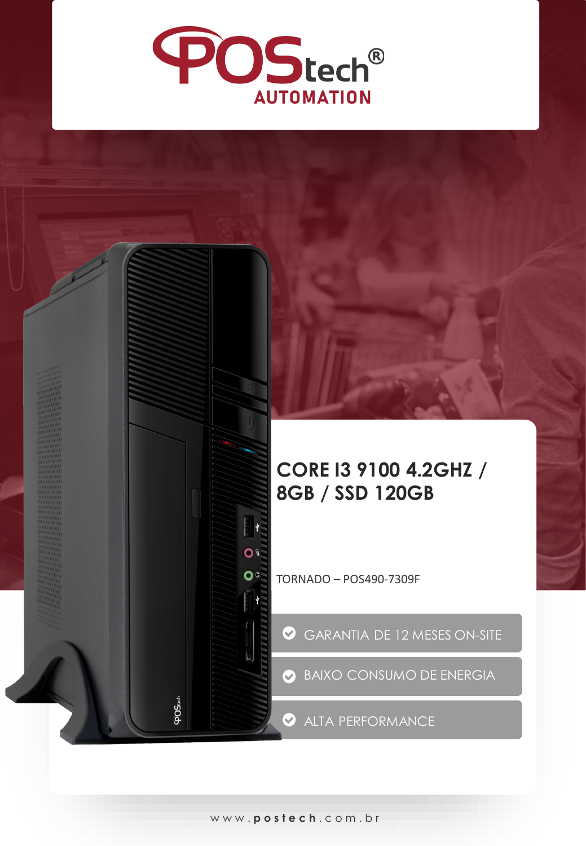

## **CORE I3 9100 4.2GHZ / 8GB / SSD 120GB**

TORNADO – POS490-7309F

GARANTIA DE 12 MESES ON-SITE

BAIXO CONSUMO DE ENERGIA

ALTA PERFORMANCE

 $\mathcal{O}$ 

 $O<sub>c</sub>$ 

**POStect**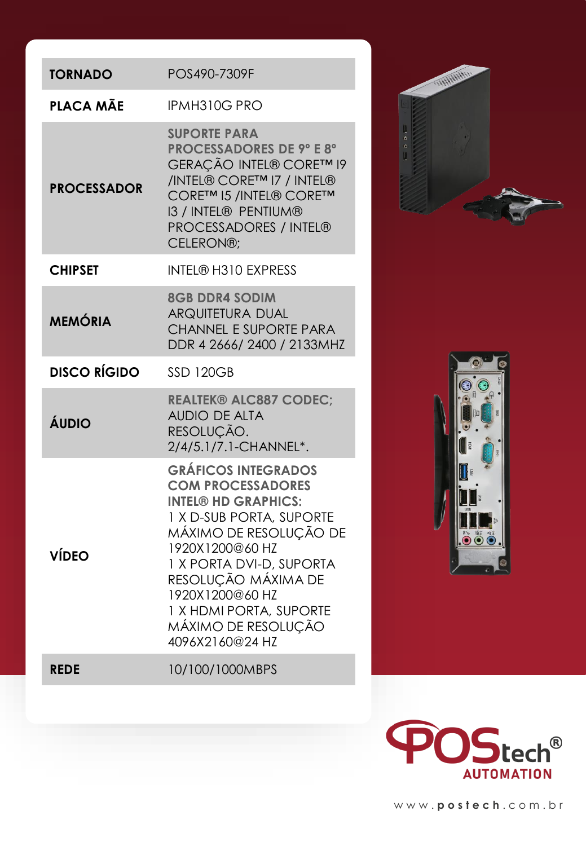| <b>TORNADO</b>      | POS490-7309F                                                                                                                                                                                                                                                                                             |                               |
|---------------------|----------------------------------------------------------------------------------------------------------------------------------------------------------------------------------------------------------------------------------------------------------------------------------------------------------|-------------------------------|
| PLACA MÃE           | IPMH310G PRO                                                                                                                                                                                                                                                                                             |                               |
| <b>PROCESSADOR</b>  | <b>SUPORTE PARA</b><br><b>PROCESSADORES DE 9º E 8º</b><br>GERAÇÃO INTEL® CORE™ 19<br>/INTEL® CORE™ I7 / INTEL®<br>CORE™ I5 /INTEL® CORE™<br>13 / INTEL® PENTIUM®<br>PROCESSADORES / INTEL®<br>CELERON®;                                                                                                  | ų<br>$\circ$<br>$\circ$<br>U. |
| <b>CHIPSET</b>      | <b>INTEL® H310 EXPRESS</b>                                                                                                                                                                                                                                                                               |                               |
| <b>MEMÓRIA</b>      | <b>8GB DDR4 SODIM</b><br><b>ARQUITETURA DUAL</b><br><b>CHANNEL E SUPORTE PARA</b><br>DDR 4 2666/2400 / 2133MHZ                                                                                                                                                                                           |                               |
| <b>DISCO RÍGIDO</b> | <b>SSD 120GB</b>                                                                                                                                                                                                                                                                                         |                               |
| ÁUDIO               | <b>REALTEK® ALC887 CODEC:</b><br><b>AUDIO DE ALTA</b><br>RESOLUÇÃO.<br>2/4/5.1/7.1-CHANNEL*.                                                                                                                                                                                                             |                               |
| <b>VÍDEO</b>        | <b>GRÁFICOS INTEGRADOS</b><br><b>COM PROCESSADORES</b><br><b>INTEL® HD GRAPHICS:</b><br>1 X D-SUB PORTA, SUPORTE<br>MÁXIMO DE RESOLUÇÃO DE<br>1920X1200@60 HZ<br>1 X PORTA DVI-D, SUPORTA<br>RESOLUÇÃO MÁXIMA DE<br>1920X1200@60 HZ<br>1 X HDMI PORTA, SUPORTE<br>MÁXIMO DE RESOLUÇÃO<br>4096X2160@24 HZ |                               |
| <b>REDE</b>         | 10/100/1000MBPS                                                                                                                                                                                                                                                                                          |                               |







www. **postech** . c o m . b r